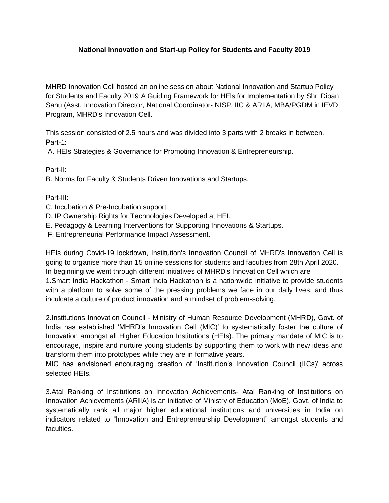## **National Innovation and Start-up Policy for Students and Faculty 2019**

MHRD Innovation Cell hosted an online session about National Innovation and Startup Policy for Students and Faculty 2019 A Guiding Framework for HEls for Implementation by Shri Dipan Sahu (Asst. Innovation Director, National Coordinator- NISP, IIC & ARIIA, MBA/PGDM in IEVD Program, MHRD's Innovation Cell.

This session consisted of 2.5 hours and was divided into 3 parts with 2 breaks in between. Part-1:

A. HEIs Strategies & Governance for Promoting Innovation & Entrepreneurship.

Part-II:

B. Norms for Faculty & Students Driven Innovations and Startups.

## Part-III:

- C. Incubation & Pre-Incubation support.
- D. IP Ownership Rights for Technologies Developed at HEI.
- E. Pedagogy & Learning Interventions for Supporting Innovations & Startups.
- F. Entrepreneurial Performance Impact Assessment.

HEIs during Covid-19 lockdown, Institution's Innovation Council of MHRD's Innovation Cell is going to organise more than 15 online sessions for students and faculties from 28th April 2020. In beginning we went through different initiatives of MHRD's Innovation Cell which are 1.Smart India Hackathon - Smart India Hackathon is a nationwide initiative to provide students with a platform to solve some of the pressing problems we face in our daily lives, and thus inculcate a culture of product innovation and a mindset of problem-solving.

2.Institutions Innovation Council - Ministry of Human Resource Development (MHRD), Govt. of India has established "MHRD"s Innovation Cell (MIC)" to systematically foster the culture of Innovation amongst all Higher Education Institutions (HEIs). The primary mandate of MIC is to encourage, inspire and nurture young students by supporting them to work with new ideas and transform them into prototypes while they are in formative years.

MIC has envisioned encouraging creation of "Institution"s Innovation Council (IICs)" across selected HEIs.

3.Atal Ranking of Institutions on Innovation Achievements- Atal Ranking of Institutions on Innovation Achievements (ARIIA) is an initiative of Ministry of Education (MoE), Govt. of India to systematically rank all major higher educational institutions and universities in India on indicators related to "Innovation and Entrepreneurship Development" amongst students and faculties.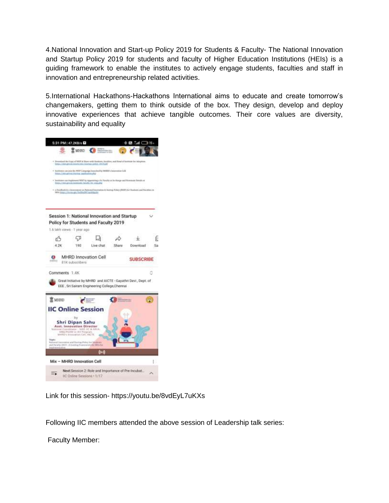4.National Innovation and Start-up Policy 2019 for Students & Faculty- The National Innovation and Startup Policy 2019 for students and faculty of Higher Education Institutions (HEIs) is a guiding framework to enable the institutes to actively engage students, faculties and staff in innovation and entrepreneurship related activities.

5.International Hackathons-Hackathons International aims to educate and create tomorrow"s changemakers, getting them to think outside of the box. They design, develop and deploy innovative experiences that achieve tangible outcomes. Their core values are diversity, sustainability and equality



Link for this session- https://youtu.be/8vdEyL7uKXs

Following IIC members attended the above session of Leadership talk series:

Faculty Member: